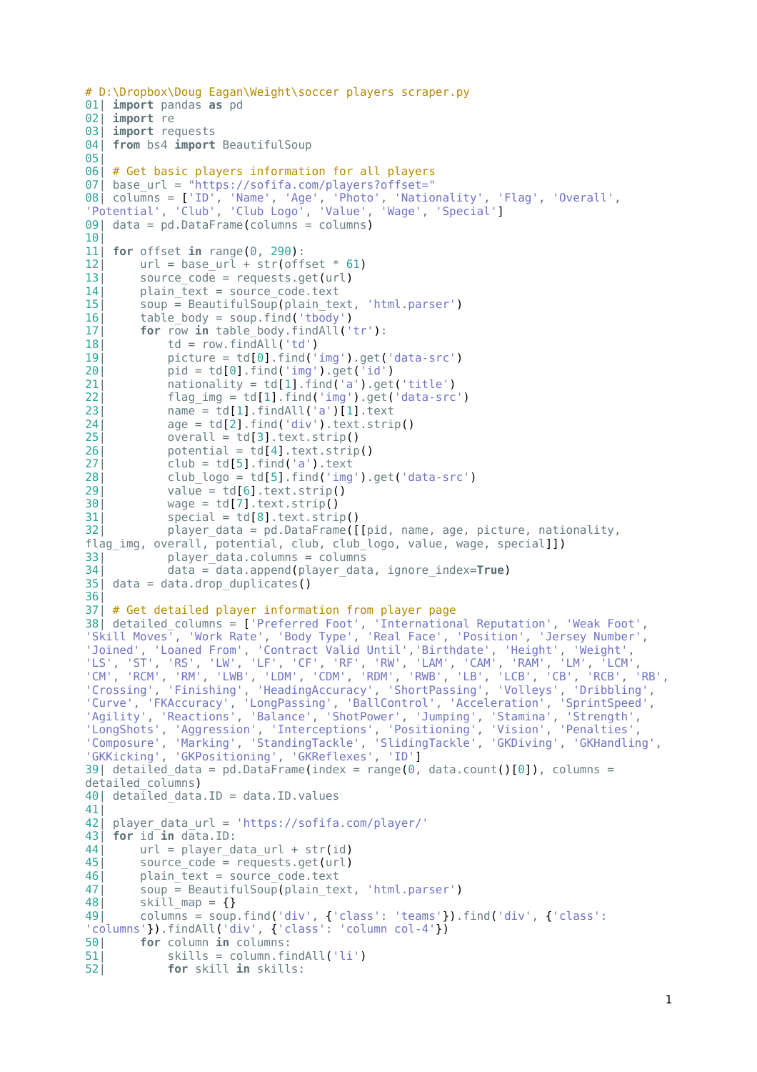```
# D:\Dropbox\Doug Eagan\Weight\soccer players scraper.py
01| import pandas as pd
02| import re
03| import requests
04| from bs4 import BeautifulSoup
05|
06| # Get basic players information for all players
07| base url = "https://sofifa.com/players?offset="
08| columns = ['ID', 'Name', 'Age', 'Photo', 'Nationality', 'Flag', 'Overall',
 'Potential', 'Club', 'Club Logo', 'Value', 'Wage', 'Special']
09| data = pd.DataFrame(columns = columns)
10|
11<sup>|</sup> for offset in range(0, 290):<br>12| url = base url + str(off
12 \vert url = base_url + str(offset * 61)<br>13 source code = requests.get(url)
13 source_code = requests.get(url)<br>14 plain fext = source code text
14 \mu plain_text = source_code.text<br>15 \mu soup = BeautifulSoup(plain te
15| soup = BeautifulSoup(plain_text, 'html.parser')<br>16| table body = soup.find('tbody')
         table body = soup.find('tbody')
17| for row in table_body.findAll('tr'):<br>18| td = row.findAll('td')
18 td = row.findAll('td')<br>19| picture = td[0].find('
19| picture = td[0].find('img').get('data-src')
20| pid = td[0].find('img').get('id')
21 \begin{array}{c} \text{nationality} = \text{td}[1].\text{find('a').get('title')} \\ \text{22} \end{array}22| flag_img = td[1].find('img').get('data-src')<br>23| name = td[1].findAll('a')[1].text
             name = td[1].findAll('a')[1].text24 age = td[2].find('div').text.strip()<br>251 overall = td[3].text.strip()
25| overall = td[3].text.strip()
             potential = td[4].textsfsfrip()27 club = td[5].find('a').text<br>
28 club logo = td[5].find('img
28| club_logo = td[5].find('img').get('data-src')
29| value = td[6].text.strip()<br>30| wage = td[7].text.strip()
             wage = td[7] .text .strip()31| special = td[8].text.strip()<br>32| blayer data = pd.DataFrame([
             player_data = pd.DataFrame([[pid, name, age, picture, nationality,
flag_img, overall, potential, club, club_logo, value, wage, special]])
33| player_data.columns = columns<br>34| data = data.append(player dat
             34| data = data.append(player_data, ignore_index=True)
35| data = data.drop_duplicates()
36|
37| # Get detailed player information from player page
38| detailed_columns = ['Preferred Foot', 'International Reputation', 'Weak Foot',
 'Skill Moves', 'Work Rate', 'Body Type', 'Real Face', 'Position', 'Jersey Number',
 'Joined', 'Loaned From', 'Contract Valid Until','Birthdate', 'Height', 'Weight',
 'LS', 'ST', 'RS', 'LW', 'LF', 'CF', 'RF', 'RW', 'LAM', 'CAM', 'RAM', 'LM', 'LCM',
 'CM', 'RCM', 'RM', 'LWB', 'LDM', 'CDM', 'RDM', 'RWB', 'LB', 'LCB', 'CB', 'RCB', 'RB',
 'Crossing', 'Finishing', 'HeadingAccuracy', 'ShortPassing', 'Volleys', 'Dribbling',
 'Curve', 'FKAccuracy', 'LongPassing', 'BallControl', 'Acceleration', 'SprintSpeed',
 'Agility', 'Reactions', 'Balance', 'ShotPower', 'Jumping', 'Stamina', 'Strength',
 'LongShots', 'Aggression', 'Interceptions', 'Positioning', 'Vision', 'Penalties',
 'Composure', 'Marking', 'StandingTackle', 'SlidingTackle', 'GKDiving', 'GKHandling',
 'GKKicking', 'GKPositioning', 'GKReflexes', 'ID']
39| detailed data = pd.DataFrame(index = range(0, data.count()[0]), columns =
detailed columns)
40| detailed data.ID = data.ID.values
41|
42| player_data_url = 'https://sofifa.com/player/'
43| for id in data.ID:
44| url = player_data_url + str(id)<br>45| source code = requests.get(url)
45| source_code = requests.get(url)<br>46| blain text = source code.text
46 plain_text = source_code.text<br>47| soup = BeautifulSoup(plain text
         soup = BeautifulSoup(plain text, 'html.parser')\begin{array}{ll} 48 & \text{skill\_map} = \{\} \\ 49 & \text{columns} = \text{sum} \end{array}column\bar{s} = soup.find('div', {'class': 'teams'}).find('div', {'class':}'columns'}).findAll('div', {'class': 'column col-4'})
50| for column in columns:
51 \begin{bmatrix} 51 \\ 52 \end{bmatrix} skills = column.findAll('li')
             for skill in skills:
```